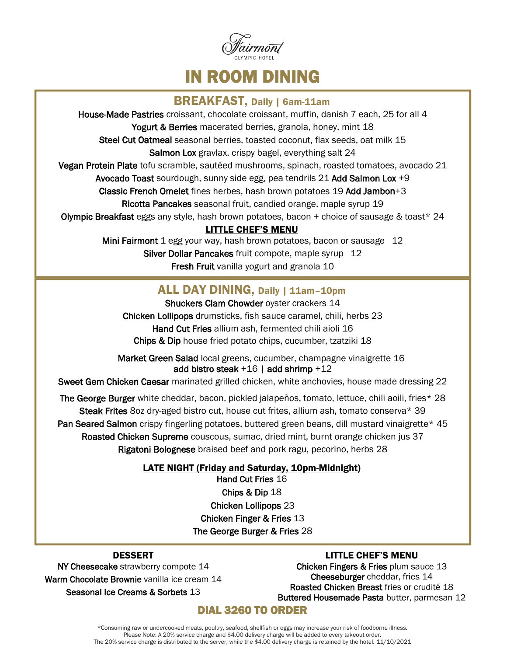

IN ROOM DINING

### BREAKFAST, Daily | 6am-11am

House-Made Pastries croissant, chocolate croissant, muffin, danish 7 each, 25 for all 4

Yogurt & Berries macerated berries, granola, honey, mint 18

Steel Cut Oatmeal seasonal berries, toasted coconut, flax seeds, oat milk 15

Salmon Lox gravlax, crispy bagel, everything salt 24

Vegan Protein Plate tofu scramble, sautéed mushrooms, spinach, roasted tomatoes, avocado 21

Avocado Toast sourdough, sunny side egg, pea tendrils 21 Add Salmon Lox +9

Classic French Omelet fines herbes, hash brown potatoes 19 Add Jambon+3

Ricotta Pancakes seasonal fruit, candied orange, maple syrup 19

**Olympic Breakfast** eggs any style, hash brown potatoes, bacon  $+$  choice of sausage & toast  $*$  24

#### LITTLE CHEF'S MENU

Mini Fairmont 1 egg your way, hash brown potatoes, bacon or sausage 12 Silver Dollar Pancakes fruit compote, maple syrup 12 Fresh Fruit vanilla yogurt and granola 10

## ALL DAY DINING, Daily | 11am-10pm

Shuckers Clam Chowder oyster crackers 14 Chicken Lollipops drumsticks, fish sauce caramel, chili, herbs 23 Hand Cut Fries allium ash, fermented chili aioli 16 Chips & Dip house fried potato chips, cucumber, tzatziki 18

Market Green Salad local greens, cucumber, champagne vinaigrette 16 add bistro steak  $+16$  | add shrimp  $+12$ 

Sweet Gem Chicken Caesar marinated grilled chicken, white anchovies, house made dressing 22

The George Burger white cheddar, bacon, pickled jalapeños, tomato, lettuce, chili aoili, fries\* 28 Steak Frites 8oz dry-aged bistro cut, house cut frites, allium ash, tomato conserva\* 39 Pan Seared Salmon crispy fingerling potatoes, buttered green beans, dill mustard vinaigrette\* 45 Roasted Chicken Supreme couscous, sumac, dried mint, burnt orange chicken jus 37 Rigatoni Bolognese braised beef and pork ragu, pecorino, herbs 28

#### LATE NIGHT (Friday and Saturday, 10pm-Midnight)

Hand Cut Fries 16 Chips & Dip 18 Chicken Lollipops 23 Chicken Finger & Fries 13 The George Burger & Fries 28

### DESSERT

## LITTLE CHEF'S MENU

NY Cheesecake strawberry compote 14 Warm Chocolate Brownie vanilla ice cream 14 Seasonal Ice Creams & Sorbets 13

Chicken Fingers & Fries plum sauce 13 Cheeseburger cheddar, fries 14 Roasted Chicken Breast fries or crudité 18 Buttered Housemade Pasta butter, parmesan 12

## DIAL 3260 TO ORDER

\*Consuming raw or undercooked meats, poultry, seafood, shellfish or eggs may increase your risk of foodborne illness. Please Note: A 20% service charge and \$4.00 delivery charge will be added to every takeout order. The 20% service charge is distributed to the server, while the \$4.00 delivery charge is retained by the hotel. 11/10/2021